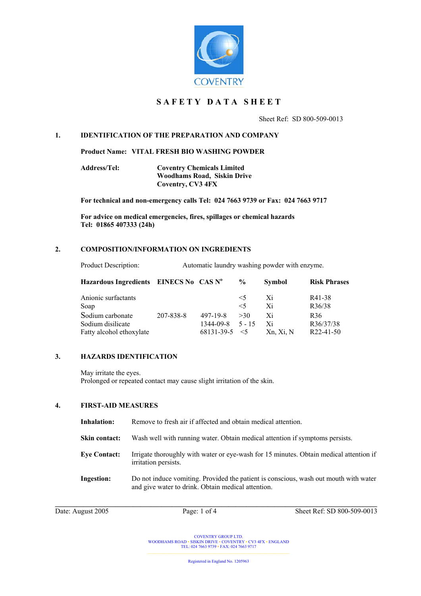

# **S A F E T Y D A T A S H E E T**

Sheet Ref: SD 800-509-0013

### **1. IDENTIFICATION OF THE PREPARATION AND COMPANY**

**Product Name: VITAL FRESH BIO WASHING POWDER** 

**Address/Tel: Coventry Chemicals Limited Woodhams Road, Siskin Drive Coventry, CV3 4FX**

**For technical and non-emergency calls Tel: 024 7663 9739 or Fax: 024 7663 9717**

**For advice on medical emergencies, fires, spillages or chemical hazards Tel: 01865 407333 (24h)**

#### **2. COMPOSITION/INFORMATION ON INGREDIENTS**

| Product Description: | Automatic laundry washing powder with enzyme. |  |
|----------------------|-----------------------------------------------|--|
|                      |                                               |  |

| Hazardous Ingredients EINECS No CAS Nº |           |            | $\frac{6}{9}$ | <b>Symbol</b> | <b>Risk Phrases</b> |
|----------------------------------------|-----------|------------|---------------|---------------|---------------------|
| Anionic surfactants                    |           |            | $\leq$ 5      | Xi            | R41-38              |
| Soap                                   |           |            | $\leq 5$      | Xi            | R36/38              |
| Sodium carbonate                       | 207-838-8 | 497-19-8   | >30           | Xi            | R <sub>36</sub>     |
| Sodium disilicate                      |           | 1344-09-8  | $5 - 15$      | Xi            | R36/37/38           |
| Fatty alcohol ethoxylate               |           | 68131-39-5 | $\leq$ 5      | Xn, Xi, N     | $R22-41-50$         |

#### **3. HAZARDS IDENTIFICATION**

May irritate the eyes. Prolonged or repeated contact may cause slight irritation of the skin.

#### **4. FIRST-AID MEASURES**

| Inhalation:          | Remove to fresh air if affected and obtain medical attention.                                                                              |
|----------------------|--------------------------------------------------------------------------------------------------------------------------------------------|
| <b>Skin contact:</b> | Wash well with running water. Obtain medical attention if symptoms persists.                                                               |
| <b>Eye Contact:</b>  | Irrigate thoroughly with water or eye-wash for 15 minutes. Obtain medical attention if<br>irritation persists.                             |
| <b>Ingestion:</b>    | Do not induce vomiting. Provided the patient is conscious, wash out mouth with water<br>and give water to drink. Obtain medical attention. |

Date: August 2005 Page: 1 of 4 Sheet Ref: SD 800-509-0013

COVENTRY GROUP LTD. WOODHAMS ROAD ▪ SISKIN DRIVE ▪ COVENTRY ▪ CV3 4FX ▪ ENGLAND TEL: 024 7663 9739 ▪ FAX: 024 7663 9717

Registered in England No. 1205963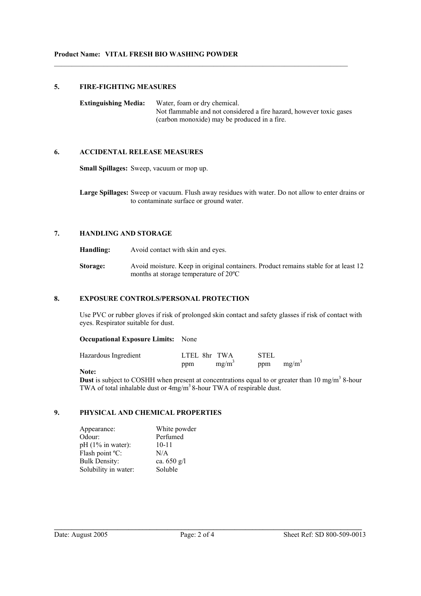### **5. FIRE-FIGHTING MEASURES**

**Extinguishing Media:** Water, foam or dry chemical. Not flammable and not considered a fire hazard, however toxic gases (carbon monoxide) may be produced in a fire.

 $\mathcal{L}_\text{max}$  , and the contribution of the contribution of the contribution of the contribution of the contribution of the contribution of the contribution of the contribution of the contribution of the contribution of t

# **6. ACCIDENTAL RELEASE MEASURES**

**Small Spillages:** Sweep, vacuum or mop up.

**Large Spillages:** Sweep or vacuum. Flush away residues with water. Do not allow to enter drains or to contaminate surface or ground water.

# **7. HANDLING AND STORAGE**

**Handling:** Avoid contact with skin and eyes.

**Storage:** Avoid moisture. Keep in original containers. Product remains stable for at least 12 months at storage temperature of 20ºC

# **8. EXPOSURE CONTROLS/PERSONAL PROTECTION**

Use PVC or rubber gloves if risk of prolonged skin contact and safety glasses if risk of contact with eyes. Respirator suitable for dust.

#### **Occupational Exposure Limits:** None

| Hazardous Ingredient | LTEL 8hr TWA |          | <b>STEL</b> |          |
|----------------------|--------------|----------|-------------|----------|
|                      | ppm          | $mg/m^3$ | ppm         | $mg/m^3$ |

#### **Note:**

**Dust** is subject to COSHH when present at concentrations equal to or greater than 10 mg/m<sup>3</sup> 8-hour TWA of total inhalable dust or  $4mg/m<sup>3</sup>$  8-hour TWA of respirable dust.

# **9. PHYSICAL AND CHEMICAL PROPERTIES**

| Appearance:          | White powder  |
|----------------------|---------------|
| Odour:               | Perfumed      |
| $pH(1\%$ in water):  | $10 - 11$     |
| Flash point °C:      | N/A           |
| <b>Bulk Density:</b> | ca. $650$ g/l |
| Solubility in water: | Soluble       |

**\_\_\_\_\_\_\_\_\_\_\_\_\_\_\_\_\_\_\_\_\_\_\_\_\_\_\_\_\_\_\_\_\_\_\_\_\_\_\_\_\_\_\_\_\_\_\_\_\_\_\_\_\_\_\_\_\_\_\_\_\_\_\_\_\_\_\_\_\_\_\_\_\_\_\_\_\_\_\_\_\_\_\_\_\_\_\_**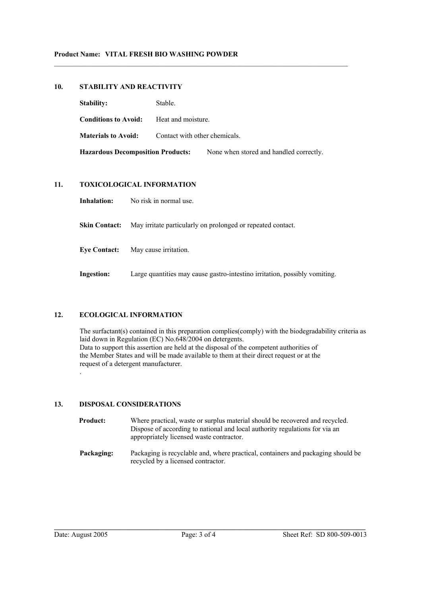# **10. STABILITY AND REACTIVITY**

| <b>Stability:</b>                        | Stable.                       |                                         |
|------------------------------------------|-------------------------------|-----------------------------------------|
| <b>Conditions to Avoid:</b>              | Heat and moisture.            |                                         |
| <b>Materials to Avoid:</b>               | Contact with other chemicals. |                                         |
| <b>Hazardous Decomposition Products:</b> |                               | None when stored and handled correctly. |

 $\mathcal{L}_\text{max}$  , and the contribution of the contribution of the contribution of the contribution of the contribution of the contribution of the contribution of the contribution of the contribution of the contribution of t

# **11. TOXICOLOGICAL INFORMATION**

**Inhalation:** No risk in normal use.

**Skin Contact:** May irritate particularly on prolonged or repeated contact.

**Eye Contact:** May cause irritation.

**Ingestion:** Large quantities may cause gastro-intestino irritation, possibly vomiting.

# **12. ECOLOGICAL INFORMATION**

The surfactant(s) contained in this preparation complies(comply) with the biodegradability criteria as laid down in Regulation (EC) No.648/2004 on detergents. Data to support this assertion are held at the disposal of the competent authorities of the Member States and will be made available to them at their direct request or at the request of a detergent manufacturer. .

# **13. DISPOSAL CONSIDERATIONS**

| <b>Product:</b> | Where practical, waste or surplus material should be recovered and recycled.<br>Dispose of according to national and local authority regulations for via an<br>appropriately licensed waste contractor. |
|-----------------|---------------------------------------------------------------------------------------------------------------------------------------------------------------------------------------------------------|
| Packaging:      | Packaging is recyclable and, where practical, containers and packaging should be<br>recycled by a licensed contractor.                                                                                  |

**\_\_\_\_\_\_\_\_\_\_\_\_\_\_\_\_\_\_\_\_\_\_\_\_\_\_\_\_\_\_\_\_\_\_\_\_\_\_\_\_\_\_\_\_\_\_\_\_\_\_\_\_\_\_\_\_\_\_\_\_\_\_\_\_\_\_\_\_\_\_\_\_\_\_\_\_\_\_\_\_\_\_\_\_\_\_\_\_**